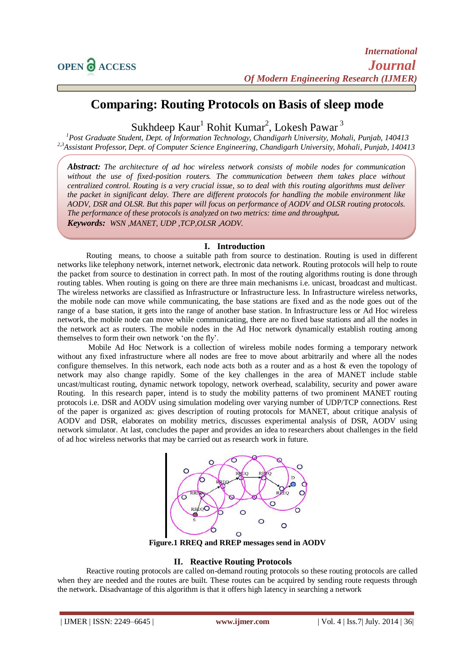# **Comparing: Routing Protocols on Basis of sleep mode**

Sukhdeep Kaur<sup>1</sup> Rohit Kumar<sup>2</sup>, Lokesh Pawar<sup>3</sup>

*<sup>1</sup>Post Graduate Student, Dept. of Information Technology, Chandigarh University, Mohali, Punjab, 140413 2,3Assistant Professor, Dept. of Computer Science Engineering, Chandigarh University, Mohali, Punjab, 140413* 

*Abstract: The architecture of ad hoc wireless network consists of mobile nodes for communication without the use of fixed-position routers. The communication between them takes place without centralized control. Routing is a very crucial issue, so to deal with this routing algorithms must deliver the packet in significant delay. There are different protocols for handling the mobile environment like AODV, DSR and OLSR. But this paper will focus on performance of AODV and OLSR routing protocols. The performance of these protocols is analyzed on two metrics: time and throughput. Keywords: WSN ,MANET, UDP ,TCP,OLSR ,AODV.*

# **I. Introduction**

Routing means, to choose a suitable path from source to destination. Routing is used in different networks like telephony network, internet network, electronic data network. Routing protocols will help to route the packet from source to destination in correct path. In most of the routing algorithms routing is done through routing tables. When routing is going on there are three main mechanisms i.e. unicast, broadcast and multicast. The wireless networks are classified as Infrastructure or Infrastructure less. In Infrastructure wireless networks, the mobile node can move while communicating, the base stations are fixed and as the node goes out of the range of a base station, it gets into the range of another base station. In Infrastructure less or Ad Hoc wireless network, the mobile node can move while communicating, there are no fixed base stations and all the nodes in the network act as routers. The mobile nodes in the Ad Hoc network dynamically establish routing among themselves to form their own network "on the fly".

Mobile Ad Hoc Network is a collection of wireless mobile nodes forming a temporary network without any fixed infrastructure where all nodes are free to move about arbitrarily and where all the nodes configure themselves. In this network, each node acts both as a router and as a host & even the topology of network may also change rapidly. Some of the key challenges in the area of MANET include stable uncast/multicast routing, dynamic network topology, network overhead, scalability, security and power aware Routing. In this research paper, intend is to study the mobility patterns of two prominent MANET routing protocols i.e. DSR and AODV using simulation modeling over varying number of UDP/TCP connections. Rest of the paper is organized as: gives description of routing protocols for MANET, about critique analysis of AODV and DSR, elaborates on mobility metrics, discusses experimental analysis of DSR, AODV using network simulator. At last, concludes the paper and provides an idea to researchers about challenges in the field of ad hoc wireless networks that may be carried out as research work in future.



**Figure.1 RREQ and RREP messages send in AODV**

# **II. Reactive Routing Protocols**

Reactive routing protocols are called on-demand routing protocols so these routing protocols are called when they are needed and the routes are built. These routes can be acquired by sending route requests through the network. Disadvantage of this algorithm is that it offers high latency in searching a network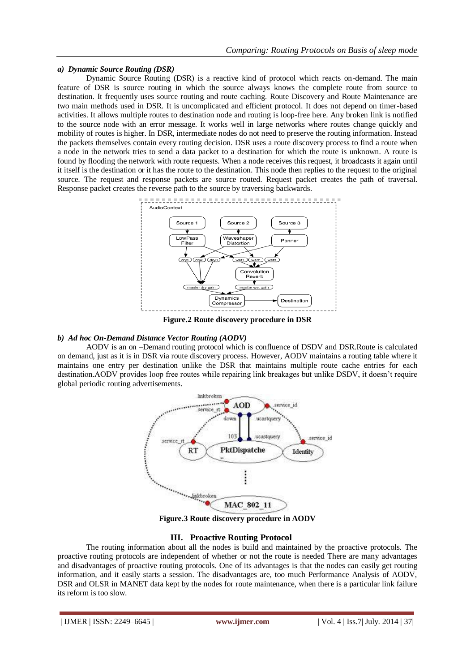## *a) Dynamic Source Routing (DSR)*

Dynamic Source Routing (DSR) is a reactive kind of protocol which reacts on-demand. The main feature of DSR is source routing in which the source always knows the complete route from source to destination. It frequently uses source routing and route caching. Route Discovery and Route Maintenance are two main methods used in DSR. It is uncomplicated and efficient protocol. It does not depend on timer-based activities. It allows multiple routes to destination node and routing is loop-free here. Any broken link is notified to the source node with an error message. It works well in large networks where routes change quickly and mobility of routes is higher. In DSR, intermediate nodes do not need to preserve the routing information. Instead the packets themselves contain every routing decision. DSR uses a route discovery process to find a route when a node in the network tries to send a data packet to a destination for which the route is unknown. A route is found by flooding the network with route requests. When a node receives this request, it broadcasts it again until it itself is the destination or it has the route to the destination. This node then replies to the request to the original source. The request and response packets are source routed. Request packet creates the path of traversal. Response packet creates the reverse path to the source by traversing backwards.



**Figure.2 Route discovery procedure in DSR**

### *b) Ad hoc On-Demand Distance Vector Routing (AODV)*

AODV is an on –Demand routing protocol which is confluence of DSDV and DSR.Route is calculated on demand, just as it is in DSR via route discovery process. However, AODV maintains a routing table where it maintains one entry per destination unlike the DSR that maintains multiple route cache entries for each destination.AODV provides loop free routes while repairing link breakages but unlike DSDV, it doesn"t require global periodic routing advertisements.



**Figure.3 Route discovery procedure in AODV**

# **III. Proactive Routing Protocol**

The routing information about all the nodes is build and maintained by the proactive protocols. The proactive routing protocols are independent of whether or not the route is needed There are many advantages and disadvantages of proactive routing protocols. One of its advantages is that the nodes can easily get routing information, and it easily starts a session. The disadvantages are, too much Performance Analysis of AODV, DSR and OLSR in MANET data kept by the nodes for route maintenance, when there is a particular link failure its reform is too slow.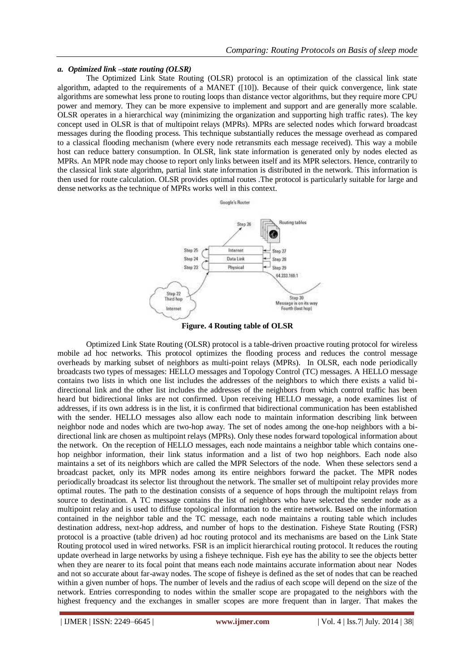## *a. Optimized link –state routing (OLSR)*

The Optimized Link State Routing (OLSR) protocol is an optimization of the classical link state algorithm, adapted to the requirements of a MANET ([10]). Because of their quick convergence, link state algorithms are somewhat less prone to routing loops than distance vector algorithms, but they require more CPU power and memory. They can be more expensive to implement and support and are generally more scalable. OLSR operates in a hierarchical way (minimizing the organization and supporting high traffic rates). The key concept used in OLSR is that of multipoint relays (MPRs). MPRs are selected nodes which forward broadcast messages during the flooding process. This technique substantially reduces the message overhead as compared to a classical flooding mechanism (where every node retransmits each message received). This way a mobile host can reduce battery consumption. In OLSR, link state information is generated only by nodes elected as MPRs. An MPR node may choose to report only links between itself and its MPR selectors. Hence, contrarily to the classical link state algorithm, partial link state information is distributed in the network. This information is then used for route calculation. OLSR provides optimal routes .The protocol is particularly suitable for large and dense networks as the technique of MPRs works well in this context.





Optimized Link State Routing (OLSR) protocol is a table-driven proactive routing protocol for wireless mobile ad hoc networks. This protocol optimizes the flooding process and reduces the control message overheads by marking subset of neighbors as multi-point relays (MPRs). In OLSR, each node periodically broadcasts two types of messages: HELLO messages and Topology Control (TC) messages. A HELLO message contains two lists in which one list includes the addresses of the neighbors to which there exists a valid bidirectional link and the other list includes the addresses of the neighbors from which control traffic has been heard but bidirectional links are not confirmed. Upon receiving HELLO message, a node examines list of addresses, if its own address is in the list, it is confirmed that bidirectional communication has been established with the sender. HELLO messages also allow each node to maintain information describing link between neighbor node and nodes which are two-hop away. The set of nodes among the one-hop neighbors with a bidirectional link are chosen as multipoint relays (MPRs). Only these nodes forward topological information about the network. On the reception of HELLO messages, each node maintains a neighbor table which contains onehop neighbor information, their link status information and a list of two hop neighbors. Each node also maintains a set of its neighbors which are called the MPR Selectors of the node. When these selectors send a broadcast packet, only its MPR nodes among its entire neighbors forward the packet. The MPR nodes periodically broadcast its selector list throughout the network. The smaller set of multipoint relay provides more optimal routes. The path to the destination consists of a sequence of hops through the multipoint relays from source to destination. A TC message contains the list of neighbors who have selected the sender node as a multipoint relay and is used to diffuse topological information to the entire network. Based on the information contained in the neighbor table and the TC message, each node maintains a routing table which includes destination address, next-hop address, and number of hops to the destination. Fisheye State Routing (FSR) protocol is a proactive (table driven) ad hoc routing protocol and its mechanisms are based on the Link State Routing protocol used in wired networks. FSR is an implicit hierarchical routing protocol. It reduces the routing update overhead in large networks by using a fisheye technique. Fish eye has the ability to see the objects better when they are nearer to its focal point that means each node maintains accurate information about near Nodes and not so accurate about far-away nodes. The scope of fisheye is defined as the set of nodes that can be reached within a given number of hops. The number of levels and the radius of each scope will depend on the size of the network. Entries corresponding to nodes within the smaller scope are propagated to the neighbors with the highest frequency and the exchanges in smaller scopes are more frequent than in larger. That makes the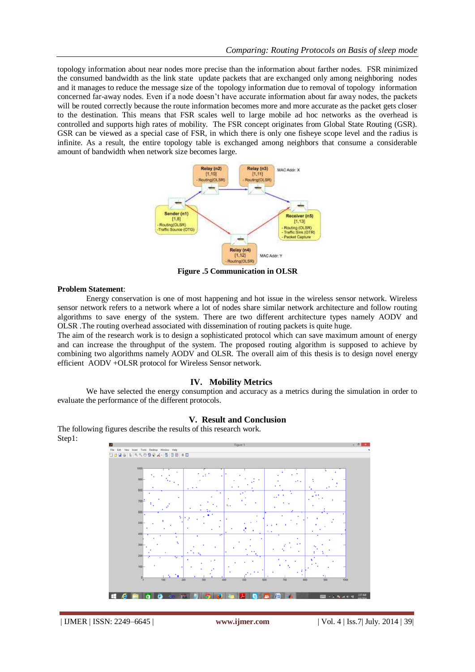topology information about near nodes more precise than the information about farther nodes. FSR minimized the consumed bandwidth as the link state update packets that are exchanged only among neighboring nodes and it manages to reduce the message size of the topology information due to removal of topology information concerned far-away nodes. Even if a node doesn"t have accurate information about far away nodes, the packets will be routed correctly because the route information becomes more and more accurate as the packet gets closer to the destination. This means that FSR scales well to large mobile ad hoc networks as the overhead is controlled and supports high rates of mobility. The FSR concept originates from Global State Routing (GSR). GSR can be viewed as a special case of FSR, in which there is only one fisheye scope level and the radius is infinite. As a result, the entire topology table is exchanged among neighbors that consume a considerable amount of bandwidth when network size becomes large.



**Figure .5 Communication in OLSR**

#### **Problem Statement**:

Energy conservation is one of most happening and hot issue in the wireless sensor network. Wireless sensor network refers to a network where a lot of nodes share similar network architecture and follow routing algorithms to save energy of the system. There are two different architecture types namely AODV and OLSR .The routing overhead associated with dissemination of routing packets is quite huge.

The aim of the research work is to design a sophisticated protocol which can save maximum amount of energy and can increase the throughput of the system. The proposed routing algorithm is supposed to achieve by combining two algorithms namely AODV and OLSR. The overall aim of this thesis is to design novel energy efficient AODV +OLSR protocol for Wireless Sensor network.

# **IV. Mobility Metrics**

We have selected the energy consumption and accuracy as a metrics during the simulation in order to evaluate the performance of the different protocols.

## **V. Result and Conclusion**

The following figures describe the results of this research work. Step1:

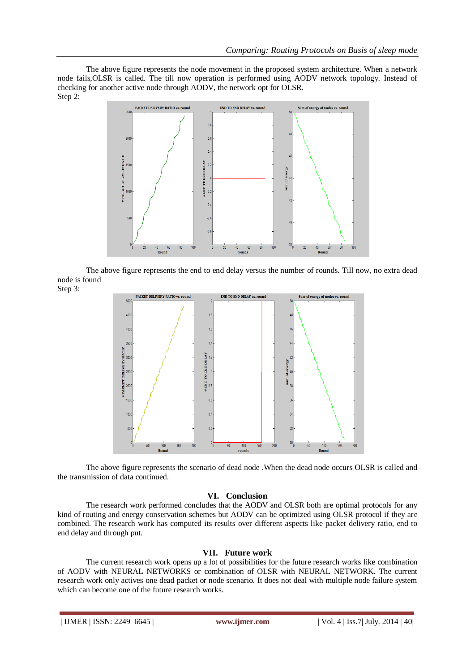The above figure represents the node movement in the proposed system architecture. When a network node fails,OLSR is called. The till now operation is performed using AODV network topology. Instead of checking for another active node through AODV, the network opt for OLSR. Step 2:



The above figure represents the end to end delay versus the number of rounds. Till now, no extra dead node is found





The above figure represents the scenario of dead node .When the dead node occurs OLSR is called and the transmission of data continued.

# **VI. Conclusion**

The research work performed concludes that the AODV and OLSR both are optimal protocols for any kind of routing and energy conservation schemes but AODV can be optimized using OLSR protocol if they are combined. The research work has computed its results over different aspects like packet delivery ratio, end to end delay and through put.

# **VII. Future work**

The current research work opens up a lot of possibilities for the future research works like combination of AODV with NEURAL NETWORKS or combination of OLSR with NEURAL NETWORK. The current research work only actives one dead packet or node scenario. It does not deal with multiple node failure system which can become one of the future research works.